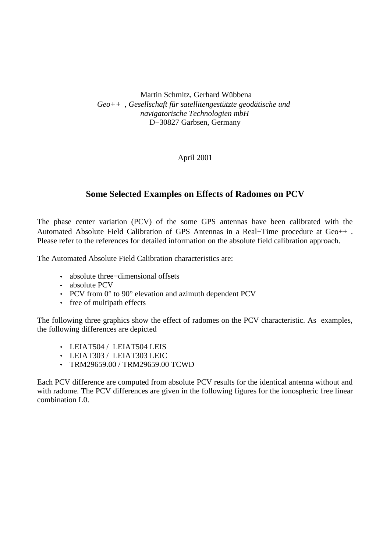Martin Schmitz, Gerhard Wübbena *Geo++ , Gesellschaft für satellitengestützte geodätische und navigatorische Technologien mbH* D−30827 Garbsen, Germany

April 2001

## **Some Selected Examples on Effects of Radomes on PCV**

The phase center variation (PCV) of the some GPS antennas have been calibrated with the Automated Absolute Field Calibration of GPS Antennas in a Real−Time procedure at Geo++ . Please refer to the references for detailed information on the absolute field calibration approach.

The Automated Absolute Field Calibration characteristics are:

- absolute three−dimensional offsets
- absolute PCV
- PCV from 0° to 90° elevation and azimuth dependent PCV
- free of multipath effects

The following three graphics show the effect of radomes on the PCV characteristic. As examples, the following differences are depicted

- LEIAT504 / LEIAT504 LEIS
- LEIAT303 / LEIAT303 LEIC
- TRM29659.00 / TRM29659.00 TCWD

Each PCV difference are computed from absolute PCV results for the identical antenna without and with radome. The PCV differences are given in the following figures for the ionospheric free linear combination L0.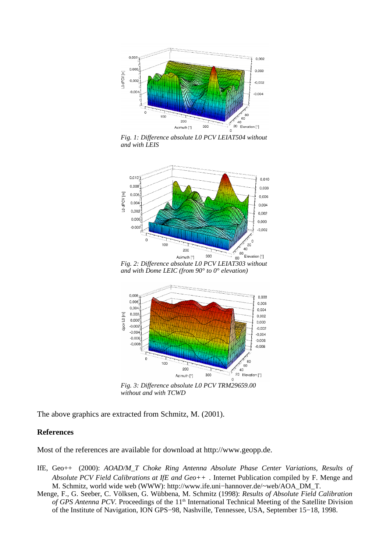

*Fig. 1: Difference absolute L0 PCV LEIAT504 without and with LEIS*



*and with Dome LEIC (from 90° to 0° elevation)*



*Fig. 3: Difference absolute L0 PCV TRM29659.00 without and with TCWD*

The above graphics are extracted from Schmitz, M. (2001).

## **References**

Most of the references are available for download at http://www.geopp.de.

- IfE, Geo++ (2000): *AOAD/M\_T Choke Ring Antenna Absolute Phase Center Variations, Results of Absolute PCV Field Calibrations at IfE and Geo++ .* Internet Publication compiled by F. Menge and M. Schmitz, world wide web (WWW): http://www.ife.uni−hannover.de/~web/AOA\_DM\_T.
- Menge, F., G. Seeber, C. Völksen, G. Wübbena, M. Schmitz (1998): *Results of Absolute Field Calibration* of GPS Antenna PCV. Proceedings of the 11<sup>th</sup> International Technical Meeting of the Satellite Division of the Institute of Navigation, ION GPS−98, Nashville, Tennessee, USA, September 15−18, 1998.